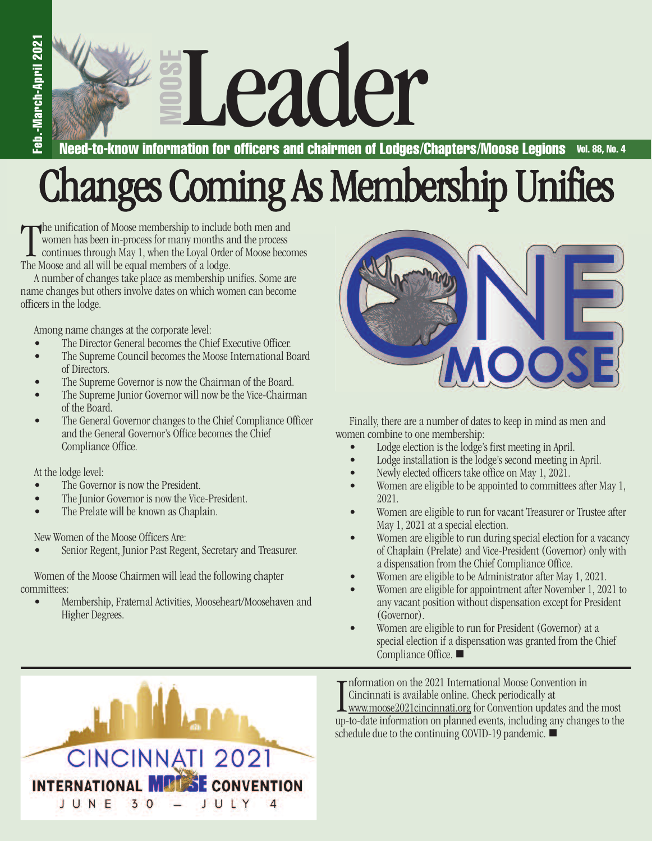**O O S E** Read-to-know information for officers and chairmen of Lodges/C

**Vol. 88, No. 4 Need-to-know information for officers and chairmen of Lodges/Chapters/Moose Legions**

## Changes Coming As Membership Unifies

The unification of Moose membership to include women has been in-process for many months a continues through May 1, when the Loyal Orde.<br>The Moose and all will be equal members of a lodge. the unification of Moose membership to include both men and women has been in-process for many months and the process continues through May 1, when the Loyal Order of Moose becomes

A number of changes take place as membership unifies. Some are name changes but others involve dates on which women can become officers in the lodge.

Among name changes at the corporate level:

- The Director General becomes the Chief Executive Officer.
- The Supreme Council becomes the Moose International Board of Directors.
- The Supreme Governor is now the Chairman of the Board.
- The Supreme Junior Governor will now be the Vice-Chairman of the Board.
- The General Governor changes to the Chief Compliance Officer and the General Governor's Office becomes the Chief Compliance Office.

At the lodge level:

- The Governor is now the President.
- The Junior Governor is now the Vice-President.
- The Prelate will be known as Chaplain.

New Women of the Moose Officers Are:

• Senior Regent, Junior Past Regent, Secretary and Treasurer.

Women of the Moose Chairmen will lead the following chapter committees:

Membership, Fraternal Activities, Mooseheart/Moosehaven and Higher Degrees.



Finally, there are a number of dates to keep in mind as men and women combine to one membership:

- Lodge election is the lodge's first meeting in April.
- Lodge installation is the lodge's second meeting in April.
- Newly elected officers take office on May 1, 2021.
- Women are eligible to be appointed to committees after May 1, 2021.
- Women are eligible to run for vacant Treasurer or Trustee after May 1, 2021 at a special election.
- Women are eligible to run during special election for a vacancy of Chaplain (Prelate) and Vice-President (Governor) only with adispensation from the Chief Compliance Office.
- Women are eligible to be Administrator after May 1, 2021.
- Women are eligible for appointment after November 1, 2021 to any vacant position without dispensation except for President (Governor).
- Women are eligible to run for President (Governor) at a special election if a dispensation was granted from the Chief Compliance Office. ■



Information on the 2021 International Moose Convention in<br>Cincinnati is available online. Check periodically at<br>www.moose2021cincinnati.org for Convention updates and the most<br>up-to-date information on planned events, incl Information on the 2021 International Moose Convention in Cincinnati is available online. Check periodically at www.moose2021cincinnati.org for Convention updates and the most schedule due to the continuing COVID-19 pandemic.  $\blacksquare$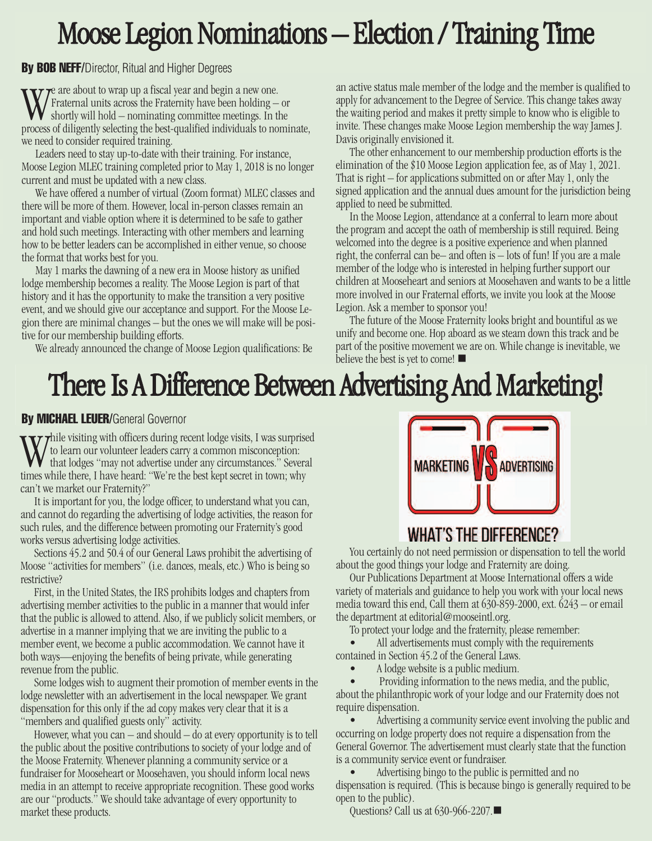## Moose Legion Nominations – Election / Training Time

**By BOB NEFF/Director, Ritual and Higher Degrees** 

 $\tau$ e are about to wrap up a fiscal year and begin a new one. Fraternal units across the Fraternity have been holding  $-$  or shortly will hold – nominating committee meetings. In the process of diligently selecting the best-qualified individuals to nominate, we need to consider required training.

Leaders need to stay up-to-date with their training. For instance, Moose Legion MLEC training completed prior to May 1, 2018 is no longer current and must be updated with a new class.

We have offered a number of virtual (Zoom format) MLEC classes and there will be more of them. However, local in-person classes remain an important and viable option where it is determined to be safe to gather and hold such meetings. Interacting with other members and learning how to be better leaders can be accomplished in either venue, so choose the format that works best for you.

May 1 marks the dawning of a new era in Moose history as unified lodge membership becomes a reality. The Moose Legion is part of that history and it has the opportunity to make the transition a very positive event, and we should give our acceptance and support. For the Moose Legion there are minimal changes  $-$  but the ones we will make will be positive for our membership building efforts.

We already announced the change of Moose Legion qualifications: Be

an active status male member of the lodge and the member is qualified to apply for advancement to the Degree of Service. This change takes away the waiting period and makes it pretty simple to know who is eligible to invite. These changes make Moose Legion membership the way James J. Davis originally envisioned it.

The other enhancement to our membership production efforts is the elimination of the \$10 Moose Legion application fee, as of May 1, 2021. That is right  $-$  for applications submitted on or after May 1, only the signed application and the annual dues amount for the jurisdiction being applied to need be submitted.

In the Moose Legion, attendance at a conferral to learn more about the program and accept the oath of membership is still required. Being welcomed into the degree is a positive experience and when planned right, the conferral can be— and often is  $-$  lots of fun! If you are a male member of the lodge who is interested in helping further support our children at Mooseheart and seniors at Moosehaven and wants to be a little more involved in our Fraternal efforts, we invite you look at the Moose Legion. Ask a member to sponsor you!

The future of the Moose Fraternity looks bright and bountiful as we unify and become one. Hop aboard as we steam down this track and be part of the positive movement we are on. While change is inevitable, we believe the best is yet to come!  $\blacksquare$ 

## There Is A Difference Between Advertising And Marketing!

#### **By MICHAEL LEUER/**General Governor

 $\bf{W}$  thile visiting with officers during recent lodge visits, I was surprised to learn our volunteer leaders carry a common misconception:  $\mathbf{v}$  that lodges "may not advertise under any circumstances." Several times while there, I have heard: "We're the best kept secret in town; why can't we market our Fraternity?"

It is important for you, the lodge officer, to understand what you can, and cannot do regarding the advertising of lodge activities, the reason for such rules, and the difference between promoting our Fraternity's good works versus advertising lodge activities.

Sections 45.2 and 50.4 of our General Laws prohibit the advertising of Moose "activities for members" (i.e. dances, meals, etc.) Who is being so restrictive?

First, in the United States, the IRS prohibits lodges and chapters from advertising member activities to the public in a manner that would infer that the public is allowed to attend. Also, if we publicly solicit members, or advertise in a manner implying that we are inviting the public to a member event, we become a public accommodation. We cannot have it both ways—enjoying the benefits of being private, while generating revenue from the public.

Some lodges wish to augment their promotion of member events in the lodge newsletter with an advertisement in the local newspaper. We grant dispensation for this only if the ad copy makes very clear that it is a "members and qualified guests only" activity.

However, what you can  $-$  and should  $-$  do at every opportunity is to tell the public about the positive contributions to society of your lodge and of the Moose Fraternity. Whenever planning a community service or a fundraiser for Mooseheart or Moosehaven, you should inform local news media in an attempt to receive appropriate recognition. These good works are our "products." We should take advantage of every opportunity to market these products.



#### **WHAT'S THE DIFFERENCE?**

You certainly do not need permission or dispensation to tell the world about the good things your lodge and Fraternity are doing.

Our Publications Department at Moose International offers a wide variety of materials and guidance to help you work with your local news media toward this end, Call them at  $630-859-2000$ , ext.  $6243$  – or email the department at editorial@mooseintl.org.

To protect your lodge and the fraternity, please remember:

All advertisements must comply with the requirements contained in Section 45.2 of the General Laws.

A lodge website is a public medium.

Providing information to the news media, and the public, about the philanthropic work of your lodge and our Fraternity does not require dispensation.

Advertising a community service event involving the public and occurring on lodge property does not require a dispensation from the General Governor. The advertisement must clearly state that the function is a community service event or fundraiser.

Advertising bingo to the public is permitted and no dispensation is required. (This is because bingo is generally required to be open to the public).

Questions? Call us at  $630-966-2207$ .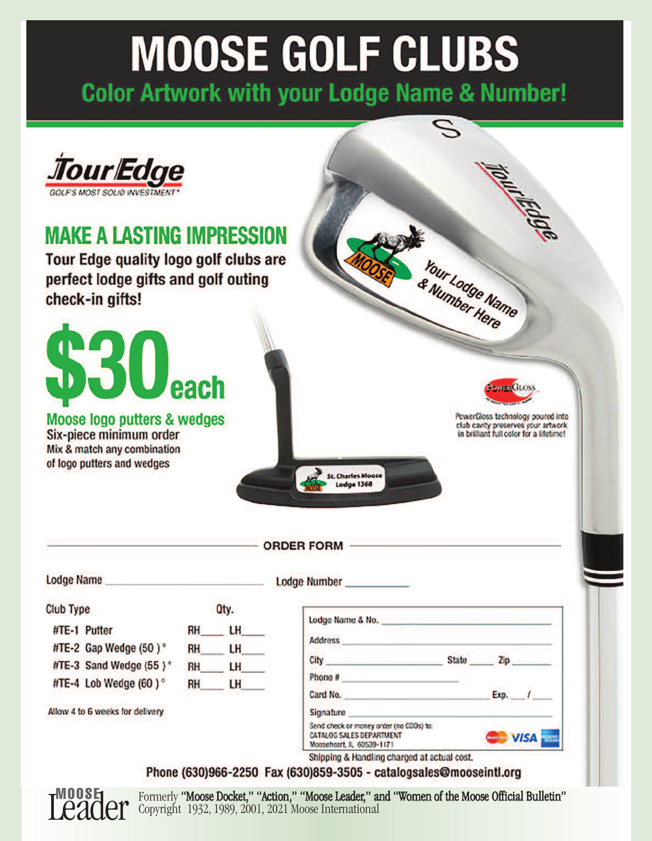# **MOOSE GOLF CLUBS**

**Color Artwork with your Lodge Name & Number!** 



Formerly "Moose Docket," "Action," "Moose Leader," and "Women of the Moose Official Bulletin" Copyright 1932, 1989, 2001, 2021 Moose International